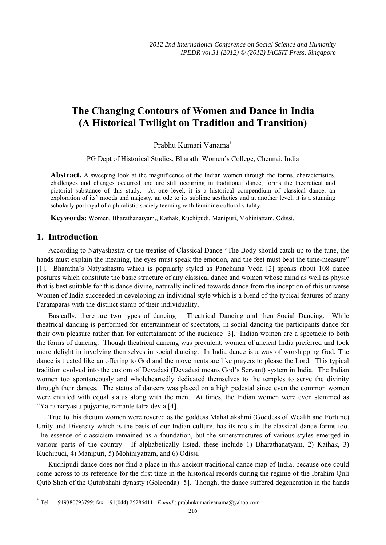# **The Changing Contours of Women and Dance in India (A Historical Twilight on Tradition and Transition)**

Prabhu Kumari Vanama<sup>∗</sup>

PG Dept of Historical Studies, Bharathi Women's College, Chennai, India

Abstract. A sweeping look at the magnificence of the Indian women through the forms, characteristics, challenges and changes occurred and are still occurring in traditional dance, forms the theoretical and pictorial substance of this study. At one level, it is a historical compendium of classical dance, an exploration of its' moods and majesty, an ode to its sublime aesthetics and at another level, it is a stunning scholarly portrayal of a pluralistic society teeming with feminine cultural vitality.

**Keywords:** Women, Bharathanatyam,, Kathak, Kuchipudi, Manipuri, Mohiniattam, Odissi.

#### **1. Introduction**

 $\overline{\phantom{a}}$ 

According to Natyashastra or the treatise of Classical Dance "The Body should catch up to the tune, the hands must explain the meaning, the eyes must speak the emotion, and the feet must beat the time-measure" [1]. Bharatha's Natyashastra which is popularly styled as Panchama Veda [2] speaks about 108 dance postures which constitute the basic structure of any classical dance and women whose mind as well as physic that is best suitable for this dance divine, naturally inclined towards dance from the inception of this universe. Women of India succeeded in developing an individual style which is a blend of the typical features of many Paramparas with the distinct stamp of their individuality.

Basically, there are two types of dancing – Theatrical Dancing and then Social Dancing. While theatrical dancing is performed for entertainment of spectators, in social dancing the participants dance for their own pleasure rather than for entertainment of the audience [3]. Indian women are a spectacle to both the forms of dancing. Though theatrical dancing was prevalent, women of ancient India preferred and took more delight in involving themselves in social dancing. In India dance is a way of worshipping God. The dance is treated like an offering to God and the movements are like prayers to please the Lord. This typical tradition evolved into the custom of Devadasi (Devadasi means God's Servant) system in India. The Indian women too spontaneously and wholeheartedly dedicated themselves to the temples to serve the divinity through their dances. The status of dancers was placed on a high pedestal since even the common women were entitled with equal status along with the men. At times, the Indian women were even stemmed as "Yatra naryastu pujyante, ramante tatra devta [4].

True to this dictum women were revered as the goddess MahaLakshmi (Goddess of Wealth and Fortune). Unity and Diversity which is the basis of our Indian culture, has its roots in the classical dance forms too. The essence of classicism remained as a foundation, but the superstructures of various styles emerged in various parts of the country. If alphabetically listed, these include 1) Bharathanatyam, 2) Kathak, 3) Kuchipudi, 4) Manipuri, 5) Mohiniyattam, and 6) Odissi.

Kuchipudi dance does not find a place in this ancient traditional dance map of India, because one could come across to its reference for the first time in the historical records during the regime of the Ibrahim Quli Qutb Shah of the Qutubshahi dynasty (Golconda) [5]. Though, the dance suffered degeneration in the hands

<sup>∗</sup> Tel.: + 919380793799; fax: +91(044) 25286411 *E-mail* : prabhukumarivanama@yahoo.com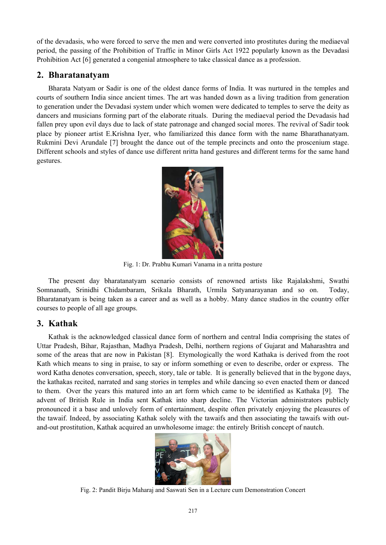of the devadasis, who were forced to serve the men and were converted into prostitutes during the mediaeval period, the passing of the Prohibition of Traffic in Minor Girls Act 1922 popularly known as the Devadasi Prohibition Act [6] generated a congenial atmosphere to take classical dance as a profession.

# **2. Bharatanatyam**

Bharata Natyam or Sadir is one of the oldest dance forms of India. It was nurtured in the temples and courts of southern India since ancient times. The art was handed down as a living tradition from generation to generation under the Devadasi system under which women were dedicated to temples to serve the deity as dancers and musicians forming part of the elaborate rituals. During the mediaeval period the Devadasis had fallen prey upon evil days due to lack of state patronage and changed social mores. The revival of Sadir took place by pioneer artist E.Krishna Iyer, who familiarized this dance form with the name Bharathanatyam. Rukmini Devi Arundale [7] brought the dance out of the temple precincts and onto the proscenium stage. Different schools and styles of dance use different nritta hand gestures and different terms for the same hand gestures.



Fig. 1: Dr. Prabhu Kumari Vanama in a nritta posture

The present day bharatanatyam scenario consists of renowned artists like Rajalakshmi, Swathi Somnanath, Srinidhi Chidambaram, Srikala Bharath, Urmila Satyanarayanan and so on. Today, Bharatanatyam is being taken as a career and as well as a hobby. Many dance studios in the country offer courses to people of all age groups.

# **3. Kathak**

Kathak is the acknowledged classical dance form of northern and central India comprising the states of Uttar Pradesh, Bihar, Rajasthan, Madhya Pradesh, Delhi, northern regions of Gujarat and Maharashtra and some of the areas that are now in Pakistan [8]. Etymologically the word Kathaka is derived from the root Kath which means to sing in praise, to say or inform something or even to describe, order or express. The word Katha denotes conversation, speech, story, tale or table. It is generally believed that in the bygone days, the kathakas recited, narrated and sang stories in temples and while dancing so even enacted them or danced to them. Over the years this matured into an art form which came to be identified as Kathaka [9]. The advent of British Rule in India sent Kathak into sharp decline. The Victorian administrators publicly pronounced it a base and unlovely form of entertainment, despite often privately enjoying the pleasures of the tawaif. Indeed, by associating Kathak solely with the tawaifs and then associating the tawaifs with outand-out prostitution, Kathak acquired an unwholesome image: the entirely British concept of nautch.



Fig. 2: Pandit Birju Maharaj and Saswati Sen in a Lecture cum Demonstration Concert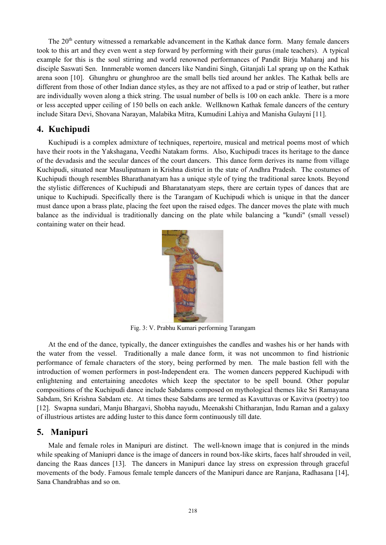The 20<sup>th</sup> century witnessed a remarkable advancement in the Kathak dance form. Many female dancers took to this art and they even went a step forward by performing with their gurus (male teachers). A typical example for this is the soul stirring and world renowned performances of Pandit Birju Maharaj and his disciple Saswati Sen. Innmerable women dancers like Nandini Singh, Gitanjali Lal sprang up on the Kathak arena soon [10]. Ghunghru or ghunghroo are the small bells tied around her ankles. The Kathak bells are different from those of other Indian dance styles, as they are not affixed to a pad or strip of leather, but rather are individually woven along a thick string. The usual number of bells is 100 on each ankle. There is a more or less accepted upper ceiling of 150 bells on each ankle. Wellknown Kathak female dancers of the century include Sitara Devi, Shovana Narayan, Malabika Mitra, Kumudini Lahiya and Manisha Gulayni [11].

## **4. Kuchipudi**

Kuchipudi is a complex admixture of techniques, repertoire, musical and metrical poems most of which have their roots in the Yakshagana, Veedhi Natakam forms. Also, Kuchipudi traces its heritage to the dance of the devadasis and the secular dances of the court dancers. This dance form derives its name from village Kuchipudi, situated near Masulipatnam in Krishna district in the state of Andhra Pradesh. The costumes of Kuchipudi though resembles Bharathanatyam has a unique style of tying the traditional saree knots. Beyond the stylistic differences of Kuchipudi and Bharatanatyam steps, there are certain types of dances that are unique to Kuchipudi. Specifically there is the Tarangam of Kuchipudi which is unique in that the dancer must dance upon a brass plate, placing the feet upon the raised edges. The dancer moves the plate with much balance as the individual is traditionally dancing on the plate while balancing a "kundi" (small vessel) containing water on their head.



Fig. 3: V. Prabhu Kumari performing Tarangam

At the end of the dance, typically, the dancer extinguishes the candles and washes his or her hands with the water from the vessel. Traditionally a male dance form, it was not uncommon to find histrionic performance of female characters of the story, being performed by men. The male bastion fell with the introduction of women performers in post-Independent era. The women dancers peppered Kuchipudi with enlightening and entertaining anecdotes which keep the spectator to be spell bound. Other popular compositions of the Kuchipudi dance include Sabdams composed on mythological themes like Sri Ramayana Sabdam, Sri Krishna Sabdam etc. At times these Sabdams are termed as Kavuttuvas or Kavitva (poetry) too [12]. Swapna sundari, Manju Bhargavi, Shobha nayudu, Meenakshi Chitharanjan, Indu Raman and a galaxy of illustrious artistes are adding luster to this dance form continuously till date.

#### **5. Manipuri**

Male and female roles in Manipuri are distinct. The well-known image that is conjured in the minds while speaking of Maniupri dance is the image of dancers in round box-like skirts, faces half shrouded in veil, dancing the Raas dances [13]. The dancers in Manipuri dance lay stress on expression through graceful movements of the body. Famous female temple dancers of the Manipuri dance are Ranjana, Radhasana [14], Sana Chandrabhas and so on.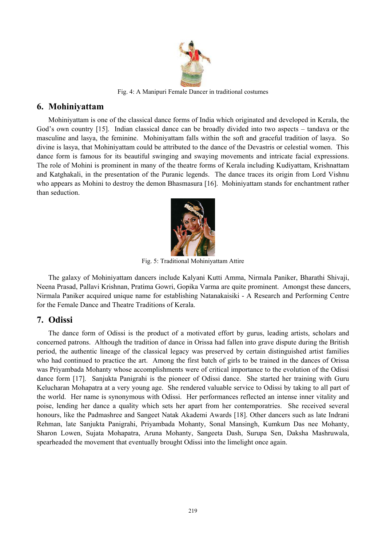

Fig. 4: A Manipuri Female Dancer in traditional costumes

## **6. Mohiniyattam**

Mohiniyattam is one of the classical dance forms of India which originated and developed in Kerala, the God's own country [15]. Indian classical dance can be broadly divided into two aspects – tandava or the masculine and lasya, the feminine. Mohiniyattam falls within the soft and graceful tradition of lasya. So divine is lasya, that Mohiniyattam could be attributed to the dance of the Devastris or celestial women. This dance form is famous for its beautiful swinging and swaying movements and intricate facial expressions. The role of Mohini is prominent in many of the theatre forms of Kerala including Kudiyattam, Krishnattam and Katghakali, in the presentation of the Puranic legends. The dance traces its origin from Lord Vishnu who appears as Mohini to destroy the demon Bhasmasura [16]. Mohiniyattam stands for enchantment rather than seduction.



Fig. 5: Traditional Mohiniyattam Attire

The galaxy of Mohiniyattam dancers include Kalyani Kutti Amma, Nirmala Paniker, Bharathi Shivaji, Neena Prasad, Pallavi Krishnan, Pratima Gowri, Gopika Varma are quite prominent. Amongst these dancers, Nirmala Paniker acquired unique name for establishing Natanakaisiki - A Research and Performing Centre for the Female Dance and Theatre Traditions of Kerala.

#### **7. Odissi**

The dance form of Odissi is the product of a motivated effort by gurus, leading artists, scholars and concerned patrons. Although the tradition of dance in Orissa had fallen into grave dispute during the British period, the authentic lineage of the classical legacy was preserved by certain distinguished artist families who had continued to practice the art. Among the first batch of girls to be trained in the dances of Orissa was Priyambada Mohanty whose accomplishments were of critical importance to the evolution of the Odissi dance form [17]. Sanjukta Panigrahi is the pioneer of Odissi dance. She started her training with Guru Kelucharan Mohapatra at a very young age. She rendered valuable service to Odissi by taking to all part of the world. Her name is synonymous with Odissi. Her performances reflected an intense inner vitality and poise, lending her dance a quality which sets her apart from her contemporatries. She received several honours, like the Padmashree and Sangeet Natak Akademi Awards [18]. Other dancers such as late Indrani Rehman, late Sanjukta Panigrahi, Priyambada Mohanty, Sonal Mansingh, Kumkum Das nee Mohanty, Sharon Lowen, Sujata Mohapatra, Aruna Mohanty, Sangeeta Dash, Surupa Sen, Daksha Mashruwala, spearheaded the movement that eventually brought Odissi into the limelight once again.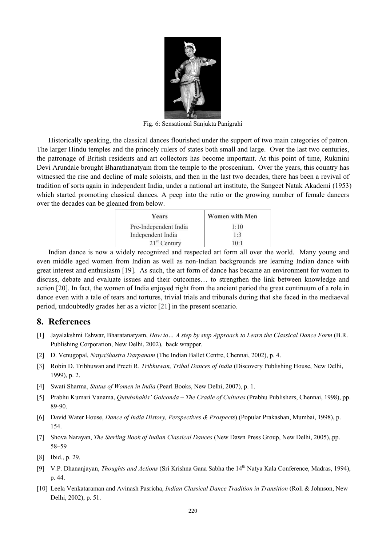

Fig. 6: Sensational Sanjukta Panigrahi

Historically speaking, the classical dances flourished under the support of two main categories of patron. The larger Hindu temples and the princely rulers of states both small and large. Over the last two centuries, the patronage of British residents and art collectors has become important. At this point of time, Rukmini Devi Arundale brought Bharathanatyam from the temple to the proscenium. Over the years, this country has witnessed the rise and decline of male soloists, and then in the last two decades, there has been a revival of tradition of sorts again in independent India, under a national art institute, the Sangeet Natak Akademi (1953) which started promoting classical dances. A peep into the ratio or the growing number of female dancers over the decades can be gleaned from below.

| Years                 | <b>Women with Men</b> |
|-----------------------|-----------------------|
| Pre-Independent India | 1.10                  |
| Independent India     | $1 \cdot 3$           |
| $21st$ Century        | $10-1$                |

Indian dance is now a widely recognized and respected art form all over the world. Many young and even middle aged women from Indian as well as non-Indian backgrounds are learning Indian dance with great interest and enthusiasm [19]. As such, the art form of dance has became an environment for women to discuss, debate and evaluate issues and their outcomes… to strengthen the link between knowledge and action [20]. In fact, the women of India enjoyed right from the ancient period the great continuum of a role in dance even with a tale of tears and tortures, trivial trials and tribunals during that she faced in the mediaeval period, undoubtedly grades her as a victor [21] in the present scenario.

#### **8. References**

- [1] Jayalakshmi Eshwar, Bharatanatyam, *How to… A step by step Approach to Learn the Classical Dance Form* (B.R. Publishing Corporation, New Delhi, 2002), back wrapper.
- [2] D. Venugopal, *NatyaShastra Darpanam* (The Indian Ballet Centre, Chennai, 2002), p. 4.
- [3] Robin D. Tribhuwan and Preeti R. *Tribhuwan, Tribal Dances of India* (Discovery Publishing House, New Delhi, 1999), p. 2.
- [4] Swati Sharma, *Status of Women in India* (Pearl Books, New Delhi, 2007), p. 1.
- [5] Prabhu Kumari Vanama, *Qutubshahis' Golconda The Cradle of Cultures* (Prabhu Publishers, Chennai, 1998), pp. 89-90.
- [6] David Water House, *Dance of India History, Perspectives & Prospects*) (Popular Prakashan, Mumbai, 1998), p. 154.
- [7] Shova Narayan, *The Sterling Book of Indian Classical Dances* (New Dawn Press Group, New Delhi, 2005),.pp. 58–59
- [8] Ibid., p. 29.
- [9] V.P. Dhananjayan, *Thoughts and Actions* (Sri Krishna Gana Sabha the 14<sup>th</sup> Natya Kala Conference, Madras, 1994), p. 44.
- [10] Leela Venkataraman and Avinash Pasricha, *Indian Classical Dance Tradition in Transition* (Roli & Johnson, New Delhi, 2002), p. 51.